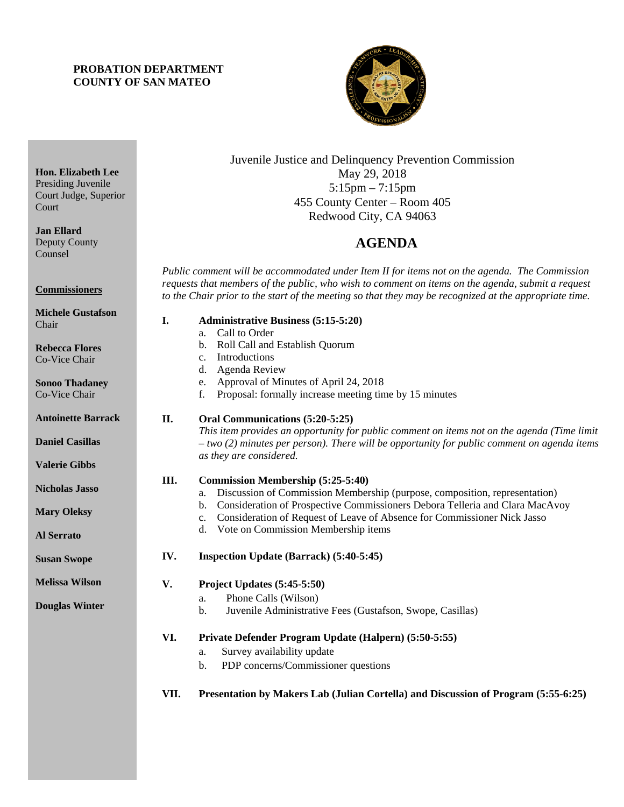## **PROBATION DEPARTMENT COUNTY OF SAN MATEO**

**Hon. Elizabeth Lee**  Presiding Juvenile Court Judge, Superior

Court

Chair

**Jan Ellard**  Deputy County Counsel

**Commissioners** 

**Rebecca Flores**  Co-Vice Chair

**Sonoo Thadaney**  Co-Vice Chair

**Antoinette Barrack** 

**Daniel Casillas** 

**Valerie Gibbs** 

**Nicholas Jasso** 

**Mary Oleksy** 

**Susan Swope** 

**Melissa Wilson** 

**Douglas Winter** 

**Al Serrato** 

**Michele Gustafson** 



Juvenile Justice and Delinquency Prevention Commission May 29, 2018 5:15pm – 7:15pm 455 County Center – Room 405 Redwood City, CA 94063

# 4B**AGENDA**

*Public comment will be accommodated under Item II for items not on the agenda. The Commission requests that members of the public, who wish to comment on items on the agenda, submit a request to the Chair prior to the start of the meeting so that they may be recognized at the appropriate time.* 

- **I. Administrative Business (5:15-5:20)** a. Call to Order b. Roll Call and Establish Quorum c. Introductions d. Agenda Review e. Approval of Minutes of April 24, 2018 f. Proposal: formally increase meeting time by 15 minutes **II. Oral Communications (5:20-5:25)** *This item provides an opportunity for public comment on items not on the agenda (Time limit – two (2) minutes per person). There will be opportunity for public comment on agenda items as they are considered.*  **III. Commission Membership (5:25-5:40)**  a. Discussion of Commission Membership (purpose, composition, representation) b. Consideration of Prospective Commissioners Debora Telleria and Clara MacAvoy c. Consideration of Request of Leave of Absence for Commissioner Nick Jasso d. Vote on Commission Membership items **IV. Inspection Update (Barrack) (5:40-5:45) V. Project Updates (5:45-5:50)**  a. Phone Calls (Wilson) b. Juvenile Administrative Fees (Gustafson, Swope, Casillas) **VI. Private Defender Program Update (Halpern) (5:50-5:55)**  a. Survey availability update b. PDP concerns/Commissioner questions
	- **VII. Presentation by Makers Lab (Julian Cortella) and Discussion of Program (5:55-6:25)**